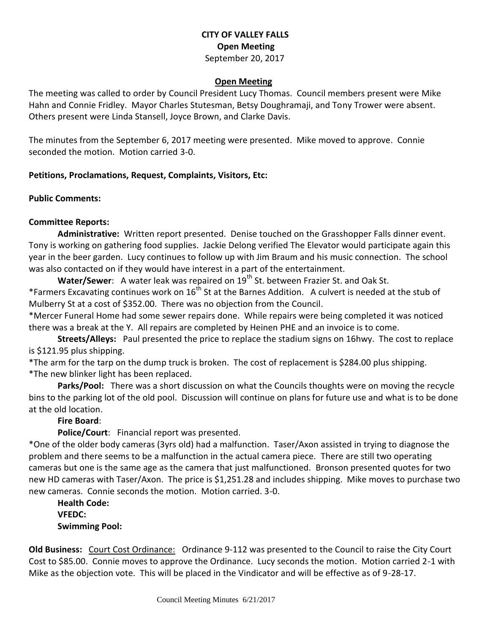## **CITY OF VALLEY FALLS Open Meeting** September 20, 2017

#### **Open Meeting**

The meeting was called to order by Council President Lucy Thomas. Council members present were Mike Hahn and Connie Fridley. Mayor Charles Stutesman, Betsy Doughramaji, and Tony Trower were absent. Others present were Linda Stansell, Joyce Brown, and Clarke Davis.

The minutes from the September 6, 2017 meeting were presented. Mike moved to approve. Connie seconded the motion. Motion carried 3-0.

### **Petitions, Proclamations, Request, Complaints, Visitors, Etc:**

#### **Public Comments:**

### **Committee Reports:**

**Administrative:** Written report presented. Denise touched on the Grasshopper Falls dinner event. Tony is working on gathering food supplies. Jackie Delong verified The Elevator would participate again this year in the beer garden. Lucy continues to follow up with Jim Braum and his music connection. The school was also contacted on if they would have interest in a part of the entertainment.

**Water/Sewer:** A water leak was repaired on 19<sup>th</sup> St. between Frazier St. and Oak St. \*Farmers Excavating continues work on  $16^{th}$  St at the Barnes Addition. A culvert is needed at the stub of Mulberry St at a cost of \$352.00. There was no objection from the Council.

\*Mercer Funeral Home had some sewer repairs done. While repairs were being completed it was noticed there was a break at the Y. All repairs are completed by Heinen PHE and an invoice is to come.

**Streets/Alleys:** Paul presented the price to replace the stadium signs on 16hwy. The cost to replace is \$121.95 plus shipping.

\*The arm for the tarp on the dump truck is broken. The cost of replacement is \$284.00 plus shipping. \*The new blinker light has been replaced.

**Parks/Pool:** There was a short discussion on what the Councils thoughts were on moving the recycle bins to the parking lot of the old pool. Discussion will continue on plans for future use and what is to be done at the old location.

### **Fire Board**:

**Police/Court**: Financial report was presented.

\*One of the older body cameras (3yrs old) had a malfunction. Taser/Axon assisted in trying to diagnose the problem and there seems to be a malfunction in the actual camera piece. There are still two operating cameras but one is the same age as the camera that just malfunctioned. Bronson presented quotes for two new HD cameras with Taser/Axon. The price is \$1,251.28 and includes shipping. Mike moves to purchase two new cameras. Connie seconds the motion. Motion carried. 3-0.

**Health Code: VFEDC: Swimming Pool:** 

**Old Business:** Court Cost Ordinance: Ordinance 9-112 was presented to the Council to raise the City Court Cost to \$85.00. Connie moves to approve the Ordinance. Lucy seconds the motion. Motion carried 2-1 with Mike as the objection vote. This will be placed in the Vindicator and will be effective as of 9-28-17.